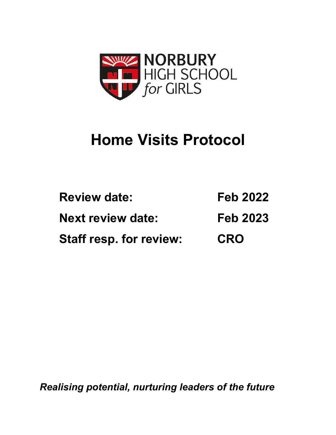

# **Home Visits Protocol**

| <b>Review date:</b>            | <b>Feb 2022</b> |
|--------------------------------|-----------------|
| <b>Next review date:</b>       | <b>Feb 2023</b> |
| <b>Staff resp. for review:</b> | <b>CRO</b>      |

*Realising potential, nurturing leaders of the future*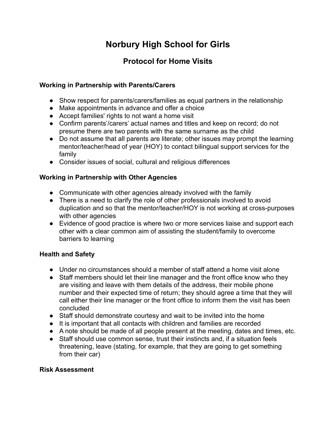## **Norbury High School for Girls**

### **Protocol for Home Visits**

#### **Working in Partnership with Parents/Carers**

- Show respect for parents/carers/families as equal partners in the relationship
- Make appointments in advance and offer a choice
- Accept families' rights to not want a home visit
- Confirm parents'/carers' actual names and titles and keep on record; do not presume there are two parents with the same surname as the child
- Do not assume that all parents are literate; other issues may prompt the learning mentor/teacher/head of year (HOY) to contact bilingual support services for the family
- Consider issues of social, cultural and religious differences

#### **Working in Partnership with Other Agencies**

- Communicate with other agencies already involved with the family
- There is a need to clarify the role of other professionals involved to avoid duplication and so that the mentor/teacher/HOY is not working at cross-purposes with other agencies
- Evidence of good practice is where two or more services liaise and support each other with a clear common aim of assisting the student/family to overcome barriers to learning

#### **Health and Safety**

- Under no circumstances should a member of staff attend a home visit alone
- Staff members should let their line manager and the front office know who they are visiting and leave with them details of the address, their mobile phone number and their expected time of return; they should agree a time that they will call either their line manager or the front office to inform them the visit has been concluded
- Staff should demonstrate courtesy and wait to be invited into the home
- It is important that all contacts with children and families are recorded
- A note should be made of all people present at the meeting, dates and times, etc.
- Staff should use common sense, trust their instincts and, if a situation feels threatening, leave (stating, for example, that they are going to get something from their car)

#### **Risk Assessment**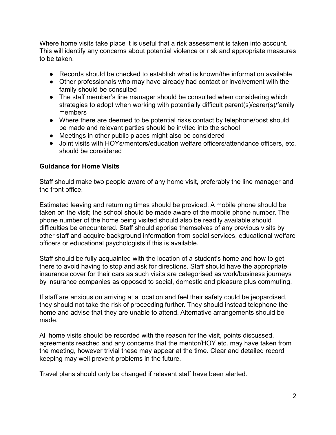Where home visits take place it is useful that a risk assessment is taken into account. This will identify any concerns about potential violence or risk and appropriate measures to be taken.

- Records should be checked to establish what is known/the information available
- Other professionals who may have already had contact or involvement with the family should be consulted
- The staff member's line manager should be consulted when considering which strategies to adopt when working with potentially difficult parent(s)/carer(s)/family members
- Where there are deemed to be potential risks contact by telephone/post should be made and relevant parties should be invited into the school
- Meetings in other public places might also be considered
- Joint visits with HOYs/mentors/education welfare officers/attendance officers, etc. should be considered

#### **Guidance for Home Visits**

Staff should make two people aware of any home visit, preferably the line manager and the front office.

Estimated leaving and returning times should be provided. A mobile phone should be taken on the visit; the school should be made aware of the mobile phone number. The phone number of the home being visited should also be readily available should difficulties be encountered. Staff should apprise themselves of any previous visits by other staff and acquire background information from social services, educational welfare officers or educational psychologists if this is available.

Staff should be fully acquainted with the location of a student's home and how to get there to avoid having to stop and ask for directions. Staff should have the appropriate insurance cover for their cars as such visits are categorised as work/business journeys by insurance companies as opposed to social, domestic and pleasure plus commuting.

If staff are anxious on arriving at a location and feel their safety could be jeopardised, they should not take the risk of proceeding further. They should instead telephone the home and advise that they are unable to attend. Alternative arrangements should be made.

All home visits should be recorded with the reason for the visit, points discussed, agreements reached and any concerns that the mentor/HOY etc. may have taken from the meeting, however trivial these may appear at the time. Clear and detailed record keeping may well prevent problems in the future.

Travel plans should only be changed if relevant staff have been alerted.